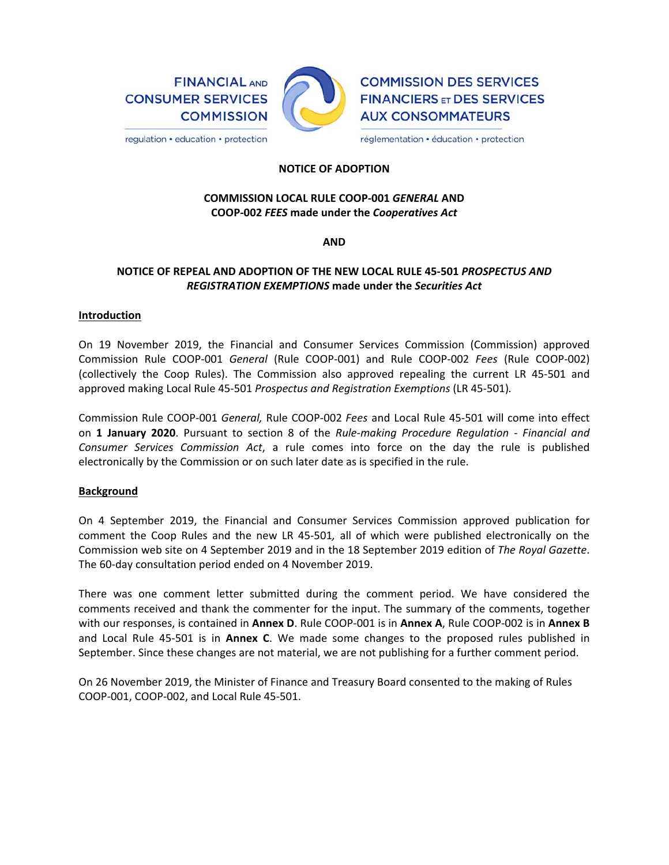**FINANCIAL AND CONSUMER SERVICES COMMISSION** 

regulation • education • protection



**COMMISSION DES SERVICES FINANCIERS ET DES SERVICES AUX CONSOMMATEURS** 

réglementation · éducation · protection

## **NOTICE OF ADOPTION**

# **COMMISSION LOCAL RULE COOP‐001** *GENERAL* **AND COOP‐002** *FEES* **made under the** *Cooperatives Act*

**AND** 

# **NOTICE OF REPEAL AND ADOPTION OF THE NEW LOCAL RULE 45‐501** *PROSPECTUS AND REGISTRATION EXEMPTIONS* **made under the** *Securities Act*

#### **Introduction**

On 19 November 2019, the Financial and Consumer Services Commission (Commission) approved Commission Rule COOP‐001 *General* (Rule COOP‐001) and Rule COOP‐002 *Fees* (Rule COOP‐002) (collectively the Coop Rules). The Commission also approved repealing the current LR 45‐501 and approved making Local Rule 45‐501 *Prospectus and Registration Exemptions* (LR 45‐501)*.* 

Commission Rule COOP‐001 *General,* Rule COOP‐002 *Fees* and Local Rule 45‐501 will come into effect on **1 January 2020**. Pursuant to section 8 of the *Rule‐making Procedure Regulation ‐ Financial and Consumer Services Commission Act*, a rule comes into force on the day the rule is published electronically by the Commission or on such later date as is specified in the rule.

#### **Background**

On 4 September 2019, the Financial and Consumer Services Commission approved publication for comment the Coop Rules and the new LR 45‐501*,*  all of which were published electronically on the Commission web site on 4 September 2019 and in the 18 September 2019 edition of *The Royal Gazette*. The 60‐day consultation period ended on 4 November 2019.

There was one comment letter submitted during the comment period. We have considered the comments received and thank the commenter for the input. The summary of the comments, together with our responses, is contained in **Annex D**. Rule COOP‐001 is in **Annex A**, Rule COOP‐002 is in **Annex B**  and Local Rule 45‐501 is in **Annex C**. We made some changes to the proposed rules published in September. Since these changes are not material, we are not publishing for a further comment period.

On 26 November 2019, the Minister of Finance and Treasury Board consented to the making of Rules COOP‐001, COOP‐002, and Local Rule 45‐501.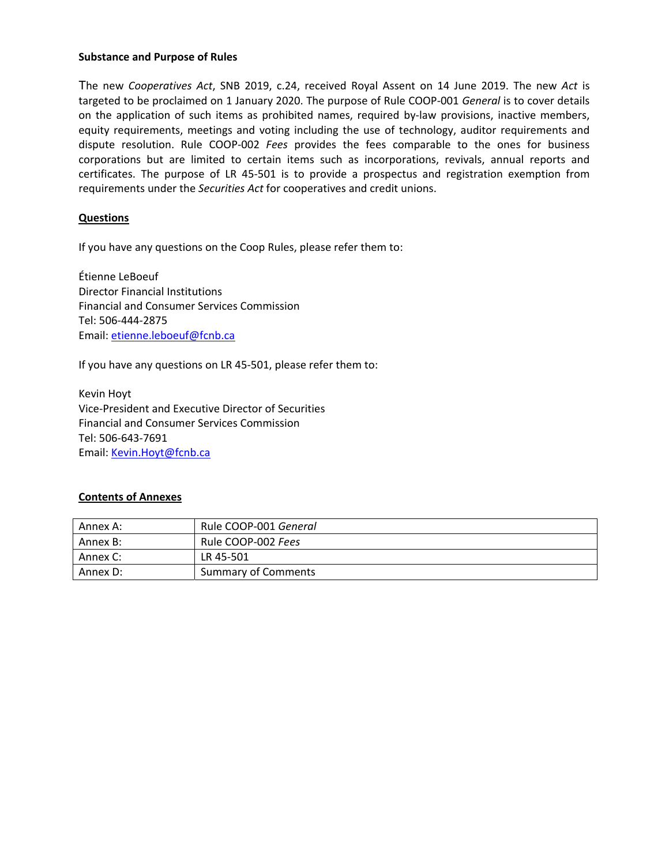#### **Substance and Purpose of Rules**

The new *Cooperatives Act*, SNB 2019, c.24, received Royal Assent on 14 June 2019. The new *Act* is targeted to be proclaimed on 1 January 2020. The purpose of Rule COOP‐001 *General* is to cover details on the application of such items as prohibited names, required by-law provisions, inactive members, equity requirements, meetings and voting including the use of technology, auditor requirements and dispute resolution. Rule COOP‐002 *Fees* provides the fees comparable to the ones for business corporations but are limited to certain items such as incorporations, revivals, annual reports and certificates. The purpose of LR 45‐501 is to provide a prospectus and registration exemption from requirements under the *Securities Act* for cooperatives and credit unions.

## **Questions**

If you have any questions on the Coop Rules, please refer them to:

Étienne LeBoeuf Director Financial Institutions Financial and Consumer Services Commission Tel: 506‐444‐2875 Email: etienne.leboeuf@fcnb.ca

If you have any questions on LR 45‐501, please refer them to:

Kevin Hoyt Vice‐President and Executive Director of Securities Financial and Consumer Services Commission Tel: 506‐643‐7691 Email: Kevin.Hoyt@fcnb.ca

#### **Contents of Annexes**

| Annex A: | Rule COOP-001 General      |
|----------|----------------------------|
| Annex B: | Rule COOP-002 Fees         |
| Annex C: | LR 45-501                  |
| Annex D: | <b>Summary of Comments</b> |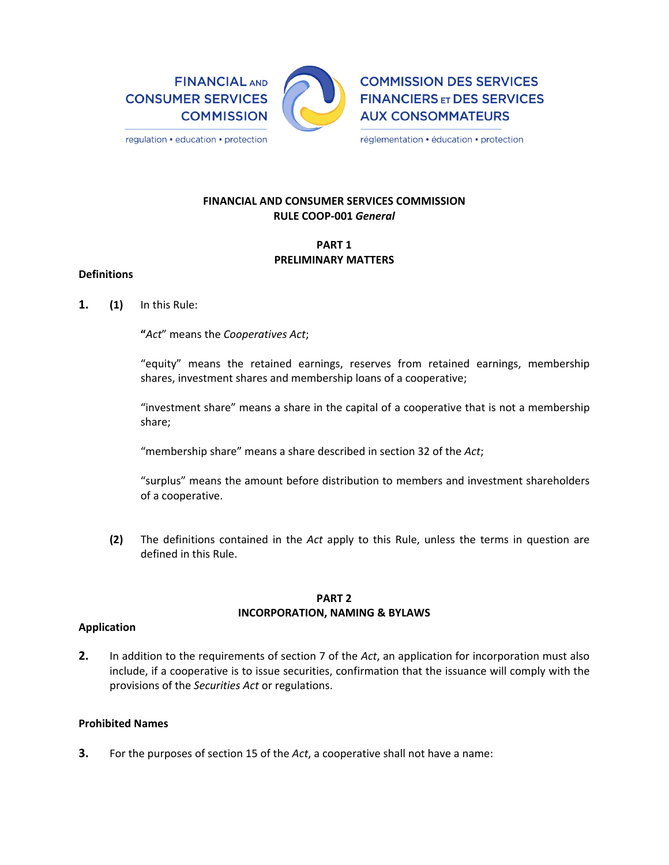**FINANCIAL AND CONSUMER SERVICES COMMISSION** 



**COMMISSION DES SERVICES FINANCIERS ET DES SERVICES AUX CONSOMMATEURS** 

réglementation · éducation · protection

# **FINANCIAL AND CONSUMER SERVICES COMMISSION RULE COOP‐001** *General*

## **PART 1 PRELIMINARY MATTERS**

#### **Definitions**

**1. (1)**  In this Rule:

**"***Act*" means the *Cooperatives Act*;

"equity" means the retained earnings, reserves from retained earnings, membership shares, investment shares and membership loans of a cooperative;

"investment share" means a share in the capital of a cooperative that is not a membership share;

"membership share" means a share described in section 32 of the *Act*;

"surplus" means the amount before distribution to members and investment shareholders of a cooperative.

**(2)**  The definitions contained in the *Act* apply to this Rule, unless the terms in question are defined in this Rule.

# **PART 2 INCORPORATION, NAMING & BYLAWS**

## **Application**

**2.** In addition to the requirements of section 7 of the *Act*, an application for incorporation must also include, if a cooperative is to issue securities, confirmation that the issuance will comply with the provisions of the *Securities Act* or regulations.

## **Prohibited Names**

**3.** For the purposes of section 15 of the *Act*, a cooperative shall not have a name: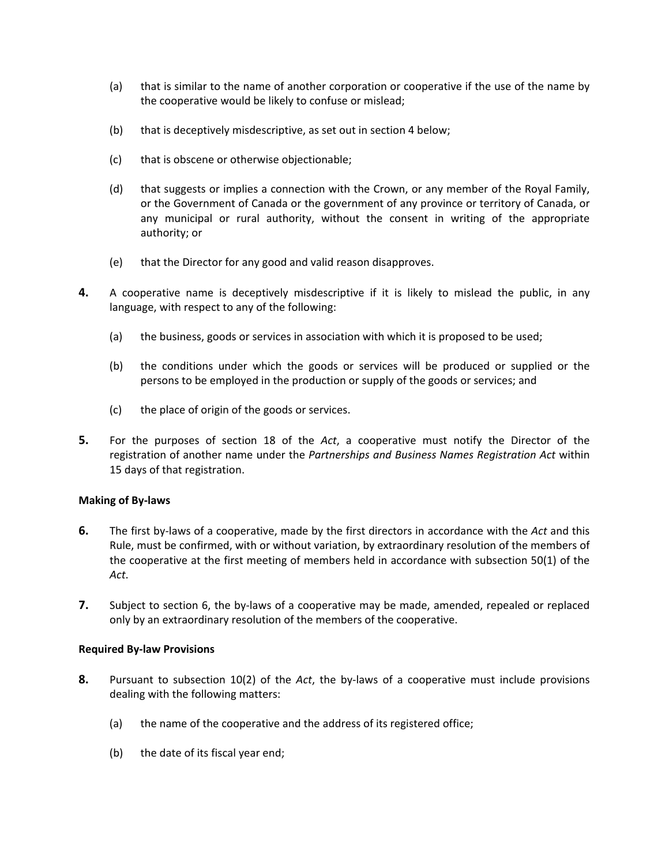- (a) that is similar to the name of another corporation or cooperative if the use of the name by the cooperative would be likely to confuse or mislead;
- (b) that is deceptively misdescriptive, as set out in section 4 below;
- (c) that is obscene or otherwise objectionable;
- (d) that suggests or implies a connection with the Crown, or any member of the Royal Family, or the Government of Canada or the government of any province or territory of Canada, or any municipal or rural authority, without the consent in writing of the appropriate authority; or
- (e) that the Director for any good and valid reason disapproves.
- **4.** A cooperative name is deceptively misdescriptive if it is likely to mislead the public, in any language, with respect to any of the following:
	- (a) the business, goods or services in association with which it is proposed to be used;
	- (b) the conditions under which the goods or services will be produced or supplied or the persons to be employed in the production or supply of the goods or services; and
	- (c) the place of origin of the goods or services.
- **5.** For the purposes of section 18 of the *Act*, a cooperative must notify the Director of the registration of another name under the *Partnerships and Business Names Registration Act* within 15 days of that registration.

## **Making of By‐laws**

- **6.** The first by‐laws of a cooperative, made by the first directors in accordance with the *Act* and this Rule, must be confirmed, with or without variation, by extraordinary resolution of the members of the cooperative at the first meeting of members held in accordance with subsection 50(1) of the *Act*.
- **7.** Subject to section 6, the by-laws of a cooperative may be made, amended, repealed or replaced only by an extraordinary resolution of the members of the cooperative.

## **Required By‐law Provisions**

- **8.** Pursuant to subsection 10(2) of the *Act*, the by‐laws of a cooperative must include provisions dealing with the following matters:
	- (a) the name of the cooperative and the address of its registered office;
	- (b) the date of its fiscal year end;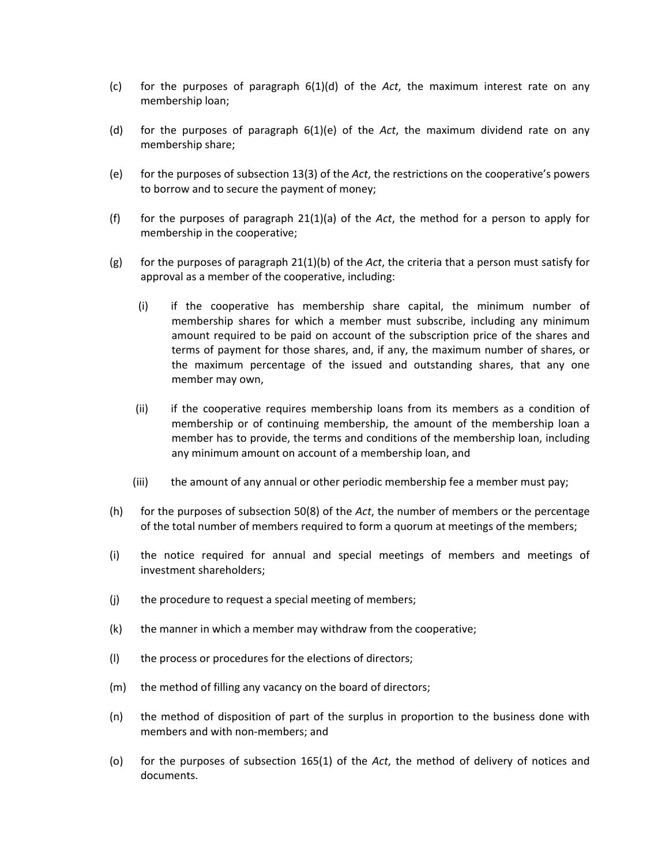- (c) for the purposes of paragraph 6(1)(d) of the *Act*, the maximum interest rate on any membership loan;
- (d) for the purposes of paragraph 6(1)(e) of the *Act*, the maximum dividend rate on any membership share;
- (e) for the purposes of subsection 13(3) of the *Act*, the restrictions on the cooperative's powers to borrow and to secure the payment of money;
- (f) for the purposes of paragraph  $21(1)(a)$  of the *Act*, the method for a person to apply for membership in the cooperative;
- (g) for the purposes of paragraph 21(1)(b) of the *Act*, the criteria that a person must satisfy for approval as a member of the cooperative, including:
	- (i) if the cooperative has membership share capital, the minimum number of membership shares for which a member must subscribe, including any minimum amount required to be paid on account of the subscription price of the shares and terms of payment for those shares, and, if any, the maximum number of shares, or the maximum percentage of the issued and outstanding shares, that any one member may own,
	- (ii) if the cooperative requires membership loans from its members as a condition of membership or of continuing membership, the amount of the membership loan a member has to provide, the terms and conditions of the membership loan, including any minimum amount on account of a membership loan, and
	- (iii) the amount of any annual or other periodic membership fee a member must pay;
- (h) for the purposes of subsection 50(8) of the *Act*, the number of members or the percentage of the total number of members required to form a quorum at meetings of the members;
- (i) the notice required for annual and special meetings of members and meetings of investment shareholders;
- (j) the procedure to request a special meeting of members;
- (k) the manner in which a member may withdraw from the cooperative;
- (l) the process or procedures for the elections of directors;
- (m) the method of filling any vacancy on the board of directors;
- (n) the method of disposition of part of the surplus in proportion to the business done with members and with non‐members; and
- (o) for the purposes of subsection 165(1) of the *Act*, the method of delivery of notices and documents.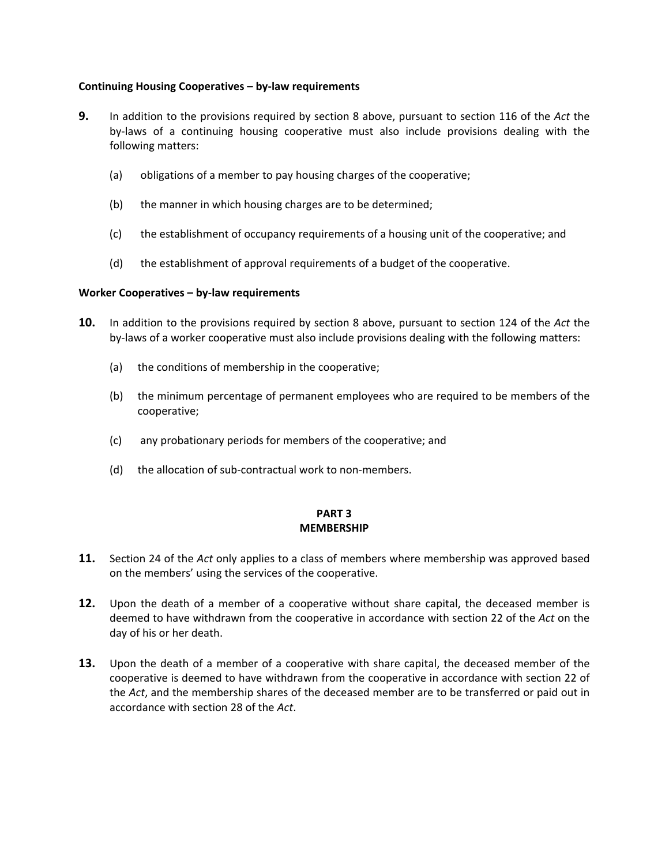## **Continuing Housing Cooperatives – by‐law requirements**

- **9.** In addition to the provisions required by section 8 above, pursuant to section 116 of the *Act* the by-laws of a continuing housing cooperative must also include provisions dealing with the following matters:
	- (a) obligations of a member to pay housing charges of the cooperative;
	- (b) the manner in which housing charges are to be determined;
	- (c) the establishment of occupancy requirements of a housing unit of the cooperative; and
	- (d) the establishment of approval requirements of a budget of the cooperative.

## **Worker Cooperatives – by‐law requirements**

- **10.** In addition to the provisions required by section 8 above, pursuant to section 124 of the *Act* the by-laws of a worker cooperative must also include provisions dealing with the following matters:
	- (a) the conditions of membership in the cooperative;
	- (b) the minimum percentage of permanent employees who are required to be members of the cooperative;
	- (c) any probationary periods for members of the cooperative; and
	- (d) the allocation of sub-contractual work to non-members.

## **PART 3 MEMBERSHIP**

- **11.** Section 24 of the *Act* only applies to a class of members where membership was approved based on the members' using the services of the cooperative.
- **12.** Upon the death of a member of a cooperative without share capital, the deceased member is deemed to have withdrawn from the cooperative in accordance with section 22 of the *Act* on the day of his or her death.
- **13.** Upon the death of a member of a cooperative with share capital, the deceased member of the cooperative is deemed to have withdrawn from the cooperative in accordance with section 22 of the *Act*, and the membership shares of the deceased member are to be transferred or paid out in accordance with section 28 of the *Act*.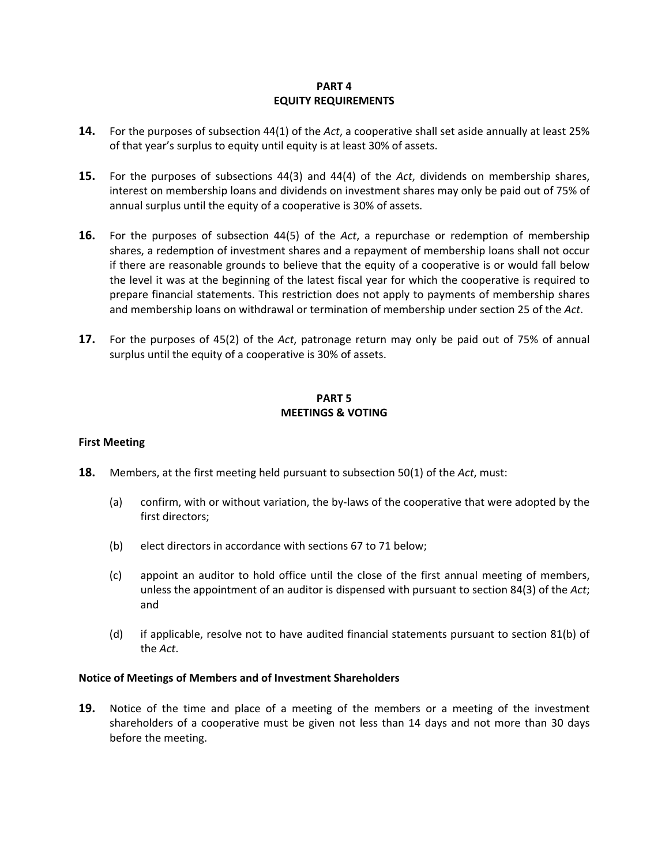## **PART 4 EQUITY REQUIREMENTS**

- **14.** For the purposes of subsection 44(1) of the *Act*, a cooperative shall set aside annually at least 25% of that year's surplus to equity until equity is at least 30% of assets.
- **15.** For the purposes of subsections 44(3) and 44(4) of the *Act*, dividends on membership shares, interest on membership loans and dividends on investment shares may only be paid out of 75% of annual surplus until the equity of a cooperative is 30% of assets.
- **16.** For the purposes of subsection 44(5) of the *Act*, a repurchase or redemption of membership shares, a redemption of investment shares and a repayment of membership loans shall not occur if there are reasonable grounds to believe that the equity of a cooperative is or would fall below the level it was at the beginning of the latest fiscal year for which the cooperative is required to prepare financial statements. This restriction does not apply to payments of membership shares and membership loans on withdrawal or termination of membership under section 25 of the *Act*.
- **17.** For the purposes of 45(2) of the *Act*, patronage return may only be paid out of 75% of annual surplus until the equity of a cooperative is 30% of assets.

# **PART 5 MEETINGS & VOTING**

## **First Meeting**

- **18.** Members, at the first meeting held pursuant to subsection 50(1) of the *Act*, must:
	- (a) confirm, with or without variation, the by‐laws of the cooperative that were adopted by the first directors;
	- (b) elect directors in accordance with sections 67 to 71 below;
	- (c) appoint an auditor to hold office until the close of the first annual meeting of members, unless the appointment of an auditor is dispensed with pursuant to section 84(3) of the *Act*; and
	- (d) if applicable, resolve not to have audited financial statements pursuant to section 81(b) of the *Act*.

#### **Notice of Meetings of Members and of Investment Shareholders**

**19.** Notice of the time and place of a meeting of the members or a meeting of the investment shareholders of a cooperative must be given not less than 14 days and not more than 30 days before the meeting.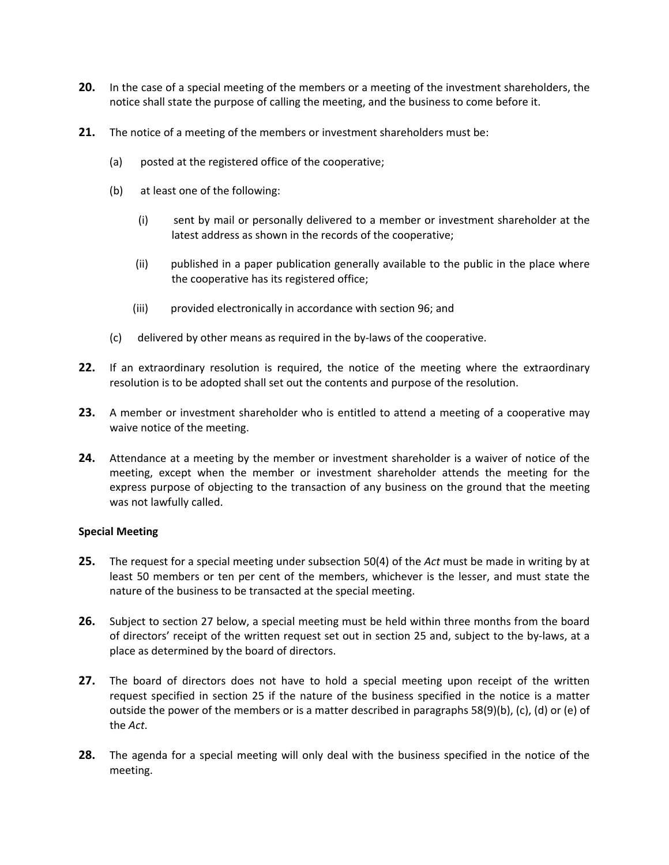- **20.** In the case of a special meeting of the members or a meeting of the investment shareholders, the notice shall state the purpose of calling the meeting, and the business to come before it.
- **21.** The notice of a meeting of the members or investment shareholders must be:
	- (a) posted at the registered office of the cooperative;
	- (b) at least one of the following:
		- (i) sent by mail or personally delivered to a member or investment shareholder at the latest address as shown in the records of the cooperative;
		- (ii) published in a paper publication generally available to the public in the place where the cooperative has its registered office;
		- (iii) provided electronically in accordance with section 96; and
	- (c) delivered by other means as required in the by‐laws of the cooperative.
- **22.** If an extraordinary resolution is required, the notice of the meeting where the extraordinary resolution is to be adopted shall set out the contents and purpose of the resolution.
- **23.** A member or investment shareholder who is entitled to attend a meeting of a cooperative may waive notice of the meeting.
- **24.** Attendance at a meeting by the member or investment shareholder is a waiver of notice of the meeting, except when the member or investment shareholder attends the meeting for the express purpose of objecting to the transaction of any business on the ground that the meeting was not lawfully called.

#### **Special Meeting**

- **25.** The request for a special meeting under subsection 50(4) of the *Act* must be made in writing by at least 50 members or ten per cent of the members, whichever is the lesser, and must state the nature of the business to be transacted at the special meeting.
- **26.** Subject to section 27 below, a special meeting must be held within three months from the board of directors' receipt of the written request set out in section 25 and, subject to the by‐laws, at a place as determined by the board of directors.
- **27.** The board of directors does not have to hold a special meeting upon receipt of the written request specified in section 25 if the nature of the business specified in the notice is a matter outside the power of the members or is a matter described in paragraphs 58(9)(b), (c), (d) or (e) of the *Act*.
- **28.** The agenda for a special meeting will only deal with the business specified in the notice of the meeting.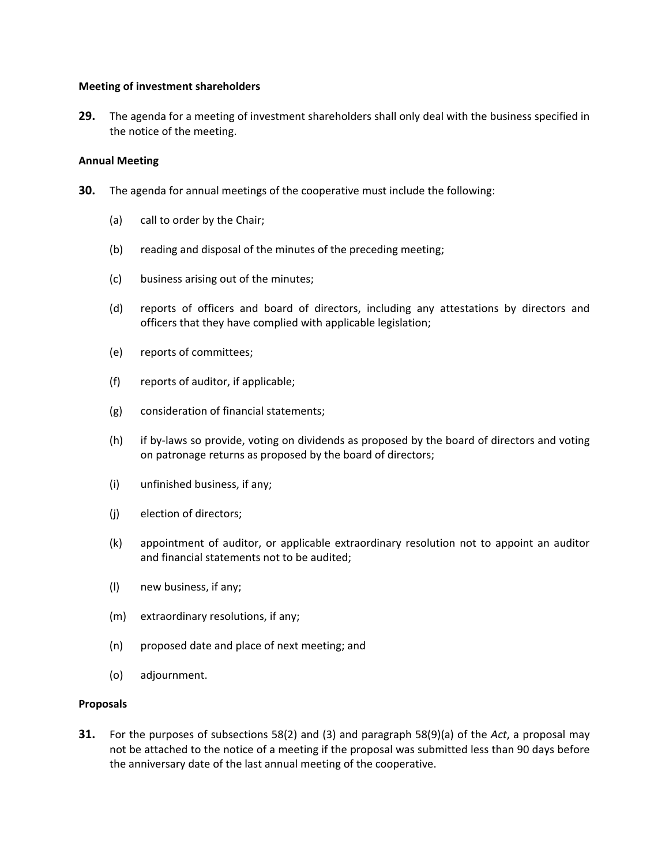#### **Meeting of investment shareholders**

**29.** The agenda for a meeting of investment shareholders shall only deal with the business specified in the notice of the meeting.

#### **Annual Meeting**

- **30.** The agenda for annual meetings of the cooperative must include the following:
	- (a) call to order by the Chair;
	- (b) reading and disposal of the minutes of the preceding meeting;
	- (c) business arising out of the minutes;
	- (d) reports of officers and board of directors, including any attestations by directors and officers that they have complied with applicable legislation;
	- (e) reports of committees;
	- (f) reports of auditor, if applicable;
	- (g) consideration of financial statements;
	- (h) if by‐laws so provide, voting on dividends as proposed by the board of directors and voting on patronage returns as proposed by the board of directors;
	- (i) unfinished business, if any;
	- (j) election of directors;
	- (k) appointment of auditor, or applicable extraordinary resolution not to appoint an auditor and financial statements not to be audited;
	- (l) new business, if any;
	- (m) extraordinary resolutions, if any;
	- (n) proposed date and place of next meeting; and
	- (o) adjournment.

#### **Proposals**

**31.** For the purposes of subsections 58(2) and (3) and paragraph 58(9)(a) of the *Act*, a proposal may not be attached to the notice of a meeting if the proposal was submitted less than 90 days before the anniversary date of the last annual meeting of the cooperative.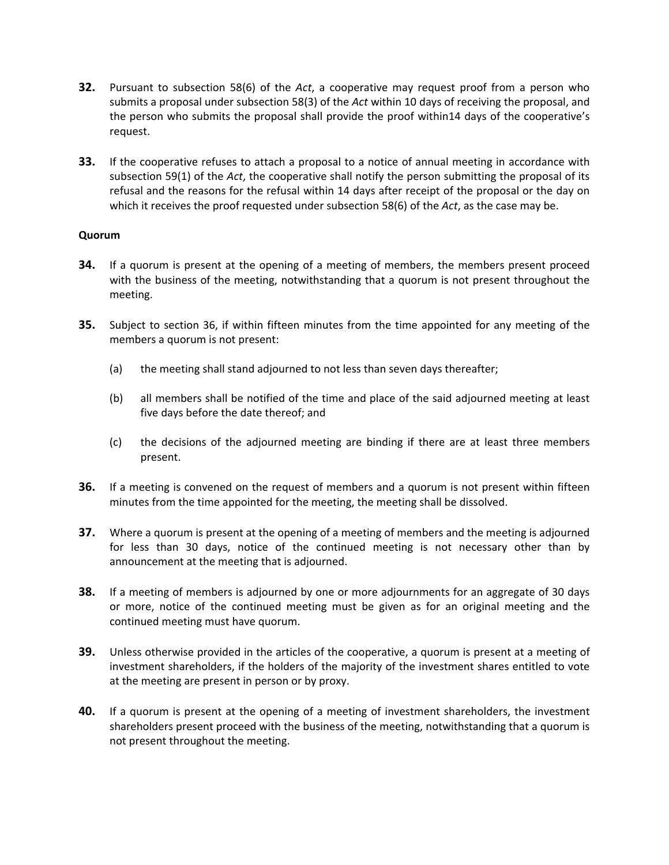- **32.** Pursuant to subsection 58(6) of the *Act*, a cooperative may request proof from a person who submits a proposal under subsection 58(3) of the *Act* within 10 days of receiving the proposal, and the person who submits the proposal shall provide the proof within14 days of the cooperative's request.
- **33.** If the cooperative refuses to attach a proposal to a notice of annual meeting in accordance with subsection 59(1) of the *Act*, the cooperative shall notify the person submitting the proposal of its refusal and the reasons for the refusal within 14 days after receipt of the proposal or the day on which it receives the proof requested under subsection 58(6) of the *Act*, as the case may be.

#### **Quorum**

- **34.** If a quorum is present at the opening of a meeting of members, the members present proceed with the business of the meeting, notwithstanding that a quorum is not present throughout the meeting.
- **35.** Subject to section 36, if within fifteen minutes from the time appointed for any meeting of the members a quorum is not present:
	- (a) the meeting shall stand adjourned to not less than seven days thereafter;
	- (b) all members shall be notified of the time and place of the said adjourned meeting at least five days before the date thereof; and
	- (c) the decisions of the adjourned meeting are binding if there are at least three members present.
- **36.** If a meeting is convened on the request of members and a quorum is not present within fifteen minutes from the time appointed for the meeting, the meeting shall be dissolved.
- **37.** Where a quorum is present at the opening of a meeting of members and the meeting is adjourned for less than 30 days, notice of the continued meeting is not necessary other than by announcement at the meeting that is adjourned.
- **38.** If a meeting of members is adjourned by one or more adjournments for an aggregate of 30 days or more, notice of the continued meeting must be given as for an original meeting and the continued meeting must have quorum.
- **39.** Unless otherwise provided in the articles of the cooperative, a quorum is present at a meeting of investment shareholders, if the holders of the majority of the investment shares entitled to vote at the meeting are present in person or by proxy.
- **40.** If a quorum is present at the opening of a meeting of investment shareholders, the investment shareholders present proceed with the business of the meeting, notwithstanding that a quorum is not present throughout the meeting.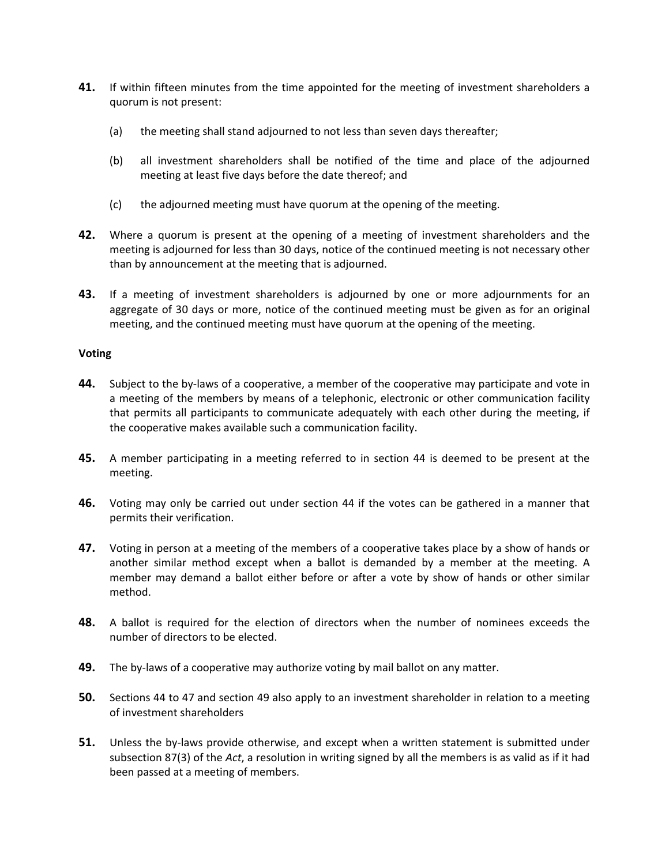- **41.** If within fifteen minutes from the time appointed for the meeting of investment shareholders a quorum is not present:
	- (a) the meeting shall stand adjourned to not less than seven days thereafter;
	- (b) all investment shareholders shall be notified of the time and place of the adjourned meeting at least five days before the date thereof; and
	- (c) the adjourned meeting must have quorum at the opening of the meeting.
- **42.** Where a quorum is present at the opening of a meeting of investment shareholders and the meeting is adjourned for less than 30 days, notice of the continued meeting is not necessary other than by announcement at the meeting that is adjourned.
- **43.** If a meeting of investment shareholders is adjourned by one or more adjournments for an aggregate of 30 days or more, notice of the continued meeting must be given as for an original meeting, and the continued meeting must have quorum at the opening of the meeting.

#### **Voting**

- **44.** Subject to the by-laws of a cooperative, a member of the cooperative may participate and vote in a meeting of the members by means of a telephonic, electronic or other communication facility that permits all participants to communicate adequately with each other during the meeting, if the cooperative makes available such a communication facility.
- **45.** A member participating in a meeting referred to in section 44 is deemed to be present at the meeting.
- **46.** Voting may only be carried out under section 44 if the votes can be gathered in a manner that permits their verification.
- **47.** Voting in person at a meeting of the members of a cooperative takes place by a show of hands or another similar method except when a ballot is demanded by a member at the meeting. A member may demand a ballot either before or after a vote by show of hands or other similar method.
- **48.** A ballot is required for the election of directors when the number of nominees exceeds the number of directors to be elected.
- **49.** The by-laws of a cooperative may authorize voting by mail ballot on any matter.
- **50.** Sections 44 to 47 and section 49 also apply to an investment shareholder in relation to a meeting of investment shareholders
- **51.** Unless the by-laws provide otherwise, and except when a written statement is submitted under subsection 87(3) of the *Act*, a resolution in writing signed by all the members is as valid as if it had been passed at a meeting of members.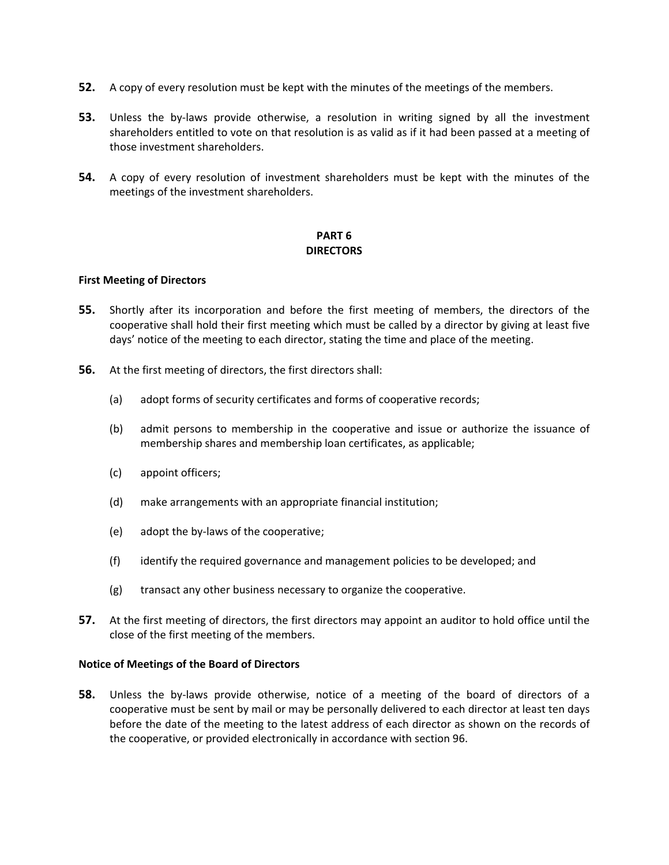- **52.** A copy of every resolution must be kept with the minutes of the meetings of the members.
- **53.** Unless the by-laws provide otherwise, a resolution in writing signed by all the investment shareholders entitled to vote on that resolution is as valid as if it had been passed at a meeting of those investment shareholders.
- **54.** A copy of every resolution of investment shareholders must be kept with the minutes of the meetings of the investment shareholders.

# **PART 6 DIRECTORS**

#### **First Meeting of Directors**

- **55.** Shortly after its incorporation and before the first meeting of members, the directors of the cooperative shall hold their first meeting which must be called by a director by giving at least five days' notice of the meeting to each director, stating the time and place of the meeting.
- **56.** At the first meeting of directors, the first directors shall:
	- (a) adopt forms of security certificates and forms of cooperative records;
	- (b) admit persons to membership in the cooperative and issue or authorize the issuance of membership shares and membership loan certificates, as applicable;
	- (c) appoint officers;
	- (d) make arrangements with an appropriate financial institution;
	- (e) adopt the by‐laws of the cooperative;
	- (f) identify the required governance and management policies to be developed; and
	- (g) transact any other business necessary to organize the cooperative.
- **57.** At the first meeting of directors, the first directors may appoint an auditor to hold office until the close of the first meeting of the members.

#### **Notice of Meetings of the Board of Directors**

**58.** Unless the by-laws provide otherwise, notice of a meeting of the board of directors of a cooperative must be sent by mail or may be personally delivered to each director at least ten days before the date of the meeting to the latest address of each director as shown on the records of the cooperative, or provided electronically in accordance with section 96.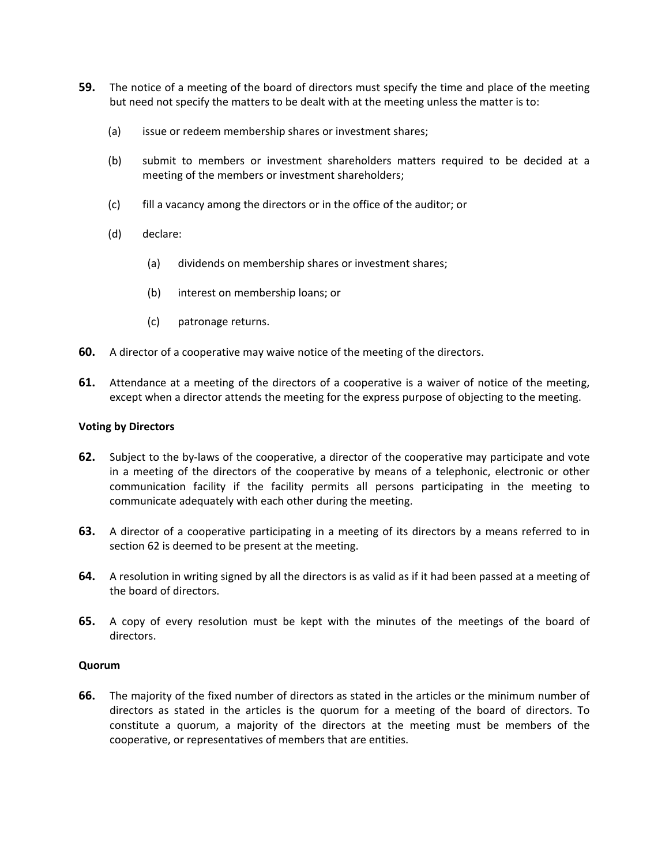- **59.** The notice of a meeting of the board of directors must specify the time and place of the meeting but need not specify the matters to be dealt with at the meeting unless the matter is to:
	- (a) issue or redeem membership shares or investment shares;
	- (b) submit to members or investment shareholders matters required to be decided at a meeting of the members or investment shareholders;
	- (c) fill a vacancy among the directors or in the office of the auditor; or
	- (d) declare:
		- (a) dividends on membership shares or investment shares;
		- (b) interest on membership loans; or
		- (c) patronage returns.
- **60.** A director of a cooperative may waive notice of the meeting of the directors.
- **61.** Attendance at a meeting of the directors of a cooperative is a waiver of notice of the meeting, except when a director attends the meeting for the express purpose of objecting to the meeting.

#### **Voting by Directors**

- **62.** Subject to the by-laws of the cooperative, a director of the cooperative may participate and vote in a meeting of the directors of the cooperative by means of a telephonic, electronic or other communication facility if the facility permits all persons participating in the meeting to communicate adequately with each other during the meeting.
- **63.** A director of a cooperative participating in a meeting of its directors by a means referred to in section 62 is deemed to be present at the meeting.
- **64.** A resolution in writing signed by all the directors is as valid as if it had been passed at a meeting of the board of directors.
- **65.** A copy of every resolution must be kept with the minutes of the meetings of the board of directors.

#### **Quorum**

**66.** The majority of the fixed number of directors as stated in the articles or the minimum number of directors as stated in the articles is the quorum for a meeting of the board of directors. To constitute a quorum, a majority of the directors at the meeting must be members of the cooperative, or representatives of members that are entities.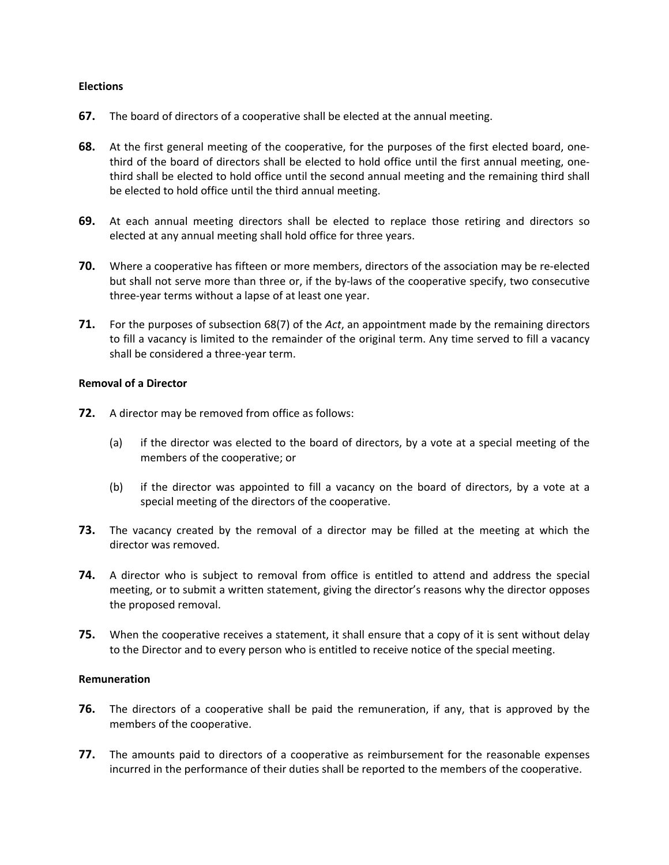#### **Elections**

- **67.** The board of directors of a cooperative shall be elected at the annual meeting.
- **68.** At the first general meeting of the cooperative, for the purposes of the first elected board, onethird of the board of directors shall be elected to hold office until the first annual meeting, one‐ third shall be elected to hold office until the second annual meeting and the remaining third shall be elected to hold office until the third annual meeting.
- **69.** At each annual meeting directors shall be elected to replace those retiring and directors so elected at any annual meeting shall hold office for three years.
- **70.** Where a cooperative has fifteen or more members, directors of the association may be re-elected but shall not serve more than three or, if the by-laws of the cooperative specify, two consecutive three‐year terms without a lapse of at least one year.
- **71.** For the purposes of subsection 68(7) of the *Act*, an appointment made by the remaining directors to fill a vacancy is limited to the remainder of the original term. Any time served to fill a vacancy shall be considered a three‐year term.

#### **Removal of a Director**

- **72.** A director may be removed from office as follows:
	- (a) if the director was elected to the board of directors, by a vote at a special meeting of the members of the cooperative; or
	- (b) if the director was appointed to fill a vacancy on the board of directors, by a vote at a special meeting of the directors of the cooperative.
- **73.** The vacancy created by the removal of a director may be filled at the meeting at which the director was removed.
- **74.** A director who is subject to removal from office is entitled to attend and address the special meeting, or to submit a written statement, giving the director's reasons why the director opposes the proposed removal.
- **75.** When the cooperative receives a statement, it shall ensure that a copy of it is sent without delay to the Director and to every person who is entitled to receive notice of the special meeting.

#### **Remuneration**

- **76.** The directors of a cooperative shall be paid the remuneration, if any, that is approved by the members of the cooperative.
- **77.** The amounts paid to directors of a cooperative as reimbursement for the reasonable expenses incurred in the performance of their duties shall be reported to the members of the cooperative.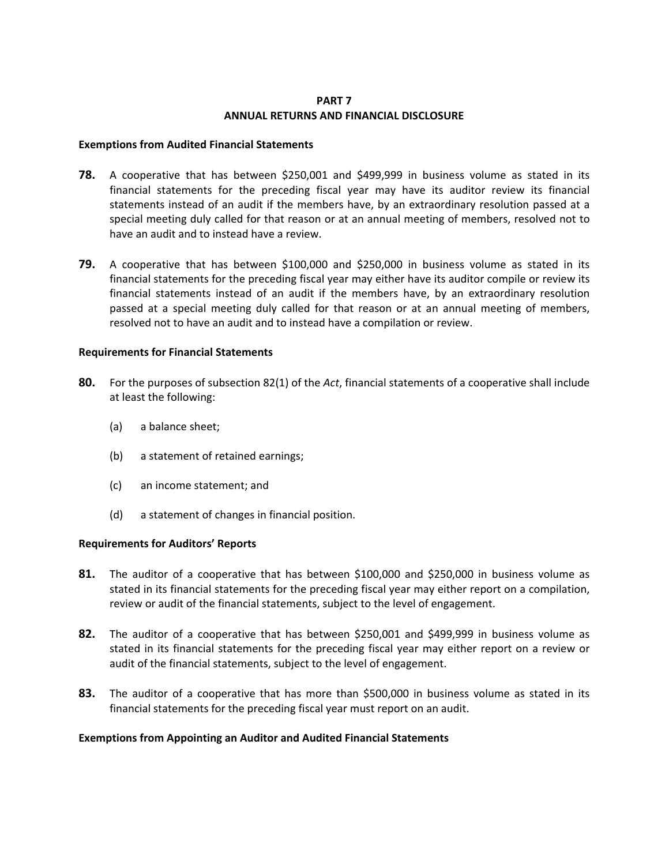## **PART 7 ANNUAL RETURNS AND FINANCIAL DISCLOSURE**

#### **Exemptions from Audited Financial Statements**

- **78.** A cooperative that has between \$250,001 and \$499,999 in business volume as stated in its financial statements for the preceding fiscal year may have its auditor review its financial statements instead of an audit if the members have, by an extraordinary resolution passed at a special meeting duly called for that reason or at an annual meeting of members, resolved not to have an audit and to instead have a review.
- **79.** A cooperative that has between \$100,000 and \$250,000 in business volume as stated in its financial statements for the preceding fiscal year may either have its auditor compile or review its financial statements instead of an audit if the members have, by an extraordinary resolution passed at a special meeting duly called for that reason or at an annual meeting of members, resolved not to have an audit and to instead have a compilation or review.

#### **Requirements for Financial Statements**

- **80.** For the purposes of subsection 82(1) of the *Act*, financial statements of a cooperative shall include at least the following:
	- (a) a balance sheet;
	- (b) a statement of retained earnings;
	- (c) an income statement; and
	- (d) a statement of changes in financial position.

#### **Requirements for Auditors' Reports**

- **81.** The auditor of a cooperative that has between \$100,000 and \$250,000 in business volume as stated in its financial statements for the preceding fiscal year may either report on a compilation, review or audit of the financial statements, subject to the level of engagement.
- **82.** The auditor of a cooperative that has between \$250,001 and \$499,999 in business volume as stated in its financial statements for the preceding fiscal year may either report on a review or audit of the financial statements, subject to the level of engagement.
- **83.** The auditor of a cooperative that has more than \$500,000 in business volume as stated in its financial statements for the preceding fiscal year must report on an audit.

#### **Exemptions from Appointing an Auditor and Audited Financial Statements**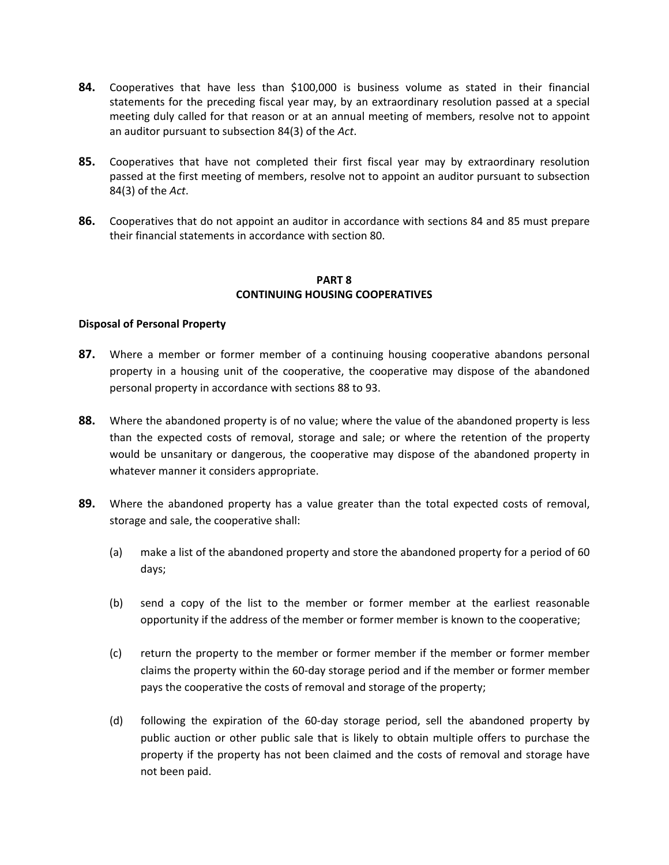- **84.** Cooperatives that have less than \$100,000 is business volume as stated in their financial statements for the preceding fiscal year may, by an extraordinary resolution passed at a special meeting duly called for that reason or at an annual meeting of members, resolve not to appoint an auditor pursuant to subsection 84(3) of the *Act*.
- **85.** Cooperatives that have not completed their first fiscal year may by extraordinary resolution passed at the first meeting of members, resolve not to appoint an auditor pursuant to subsection 84(3) of the *Act*.
- **86.** Cooperatives that do not appoint an auditor in accordance with sections 84 and 85 must prepare their financial statements in accordance with section 80.

#### **PART 8 CONTINUING HOUSING COOPERATIVES**

#### **Disposal of Personal Property**

- **87.** Where a member or former member of a continuing housing cooperative abandons personal property in a housing unit of the cooperative, the cooperative may dispose of the abandoned personal property in accordance with sections 88 to 93.
- **88.** Where the abandoned property is of no value; where the value of the abandoned property is less than the expected costs of removal, storage and sale; or where the retention of the property would be unsanitary or dangerous, the cooperative may dispose of the abandoned property in whatever manner it considers appropriate.
- **89.** Where the abandoned property has a value greater than the total expected costs of removal, storage and sale, the cooperative shall:
	- (a) make a list of the abandoned property and store the abandoned property for a period of 60 days;
	- (b) send a copy of the list to the member or former member at the earliest reasonable opportunity if the address of the member or former member is known to the cooperative;
	- (c) return the property to the member or former member if the member or former member claims the property within the 60‐day storage period and if the member or former member pays the cooperative the costs of removal and storage of the property;
	- (d) following the expiration of the 60‐day storage period, sell the abandoned property by public auction or other public sale that is likely to obtain multiple offers to purchase the property if the property has not been claimed and the costs of removal and storage have not been paid.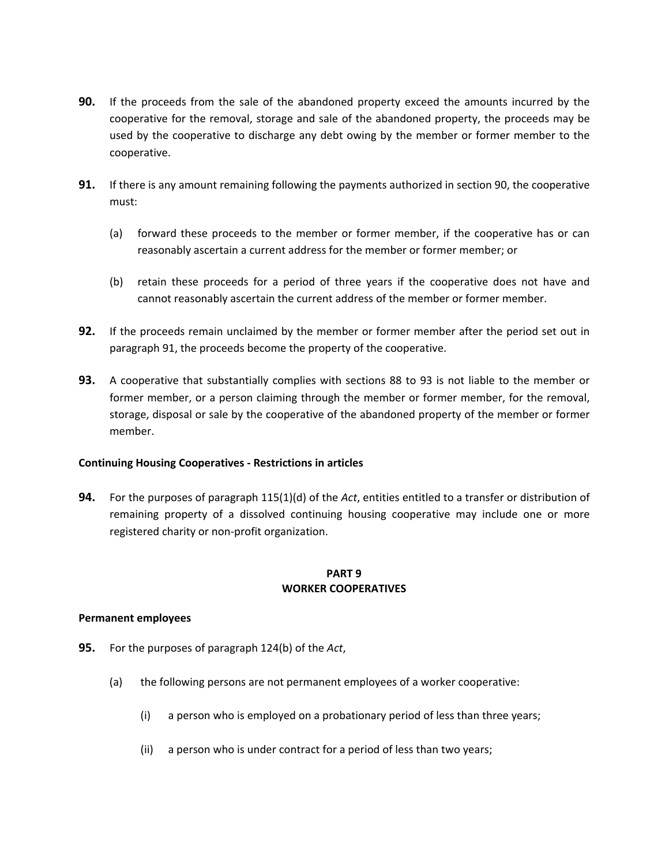- **90.** If the proceeds from the sale of the abandoned property exceed the amounts incurred by the cooperative for the removal, storage and sale of the abandoned property, the proceeds may be used by the cooperative to discharge any debt owing by the member or former member to the cooperative.
- **91.** If there is any amount remaining following the payments authorized in section 90, the cooperative must:
	- (a) forward these proceeds to the member or former member, if the cooperative has or can reasonably ascertain a current address for the member or former member; or
	- (b) retain these proceeds for a period of three years if the cooperative does not have and cannot reasonably ascertain the current address of the member or former member.
- **92.** If the proceeds remain unclaimed by the member or former member after the period set out in paragraph 91, the proceeds become the property of the cooperative.
- **93.** A cooperative that substantially complies with sections 88 to 93 is not liable to the member or former member, or a person claiming through the member or former member, for the removal, storage, disposal or sale by the cooperative of the abandoned property of the member or former member.

## **Continuing Housing Cooperatives ‐ Restrictions in articles**

**94.** For the purposes of paragraph 115(1)(d) of the *Act*, entities entitled to a transfer or distribution of remaining property of a dissolved continuing housing cooperative may include one or more registered charity or non‐profit organization.

## **PART 9 WORKER COOPERATIVES**

## **Permanent employees**

- **95.** For the purposes of paragraph 124(b) of the *Act*,
	- (a) the following persons are not permanent employees of a worker cooperative:
		- (i) a person who is employed on a probationary period of less than three years;
		- (ii) a person who is under contract for a period of less than two years;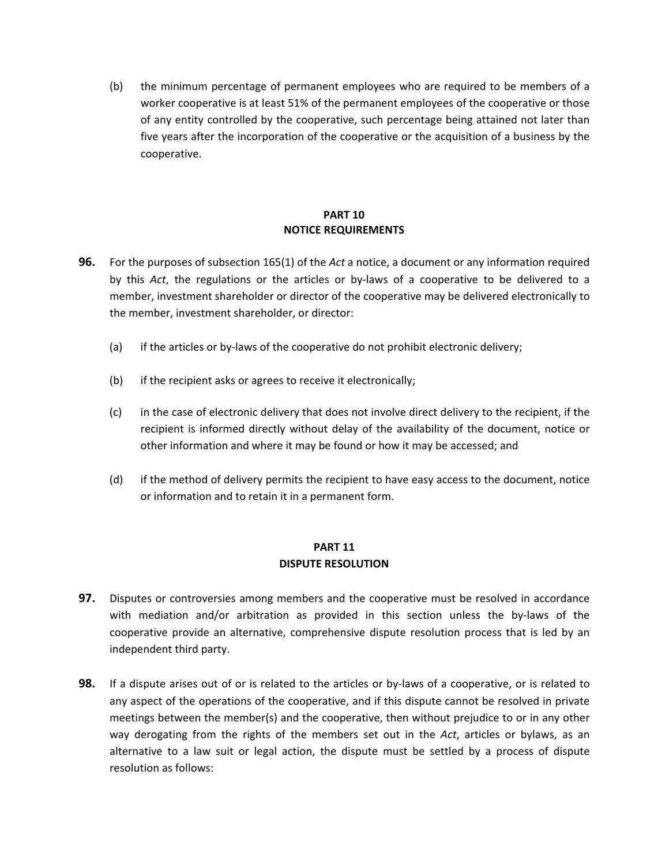(b) the minimum percentage of permanent employees who are required to be members of a worker cooperative is at least 51% of the permanent employees of the cooperative or those of any entity controlled by the cooperative, such percentage being attained not later than five years after the incorporation of the cooperative or the acquisition of a business by the cooperative.

# **PART 10 NOTICE REQUIREMENTS**

- **96.** For the purposes of subsection 165(1) of the *Act* a notice, a document or any information required by this Act, the regulations or the articles or by-laws of a cooperative to be delivered to a member, investment shareholder or director of the cooperative may be delivered electronically to the member, investment shareholder, or director:
	- (a) if the articles or by‐laws of the cooperative do not prohibit electronic delivery;
	- (b) if the recipient asks or agrees to receive it electronically;
	- (c) in the case of electronic delivery that does not involve direct delivery to the recipient, if the recipient is informed directly without delay of the availability of the document, notice or other information and where it may be found or how it may be accessed; and
	- (d) if the method of delivery permits the recipient to have easy access to the document, notice or information and to retain it in a permanent form.

# **PART 11 DISPUTE RESOLUTION**

- **97.** Disputes or controversies among members and the cooperative must be resolved in accordance with mediation and/or arbitration as provided in this section unless the by-laws of the cooperative provide an alternative, comprehensive dispute resolution process that is led by an independent third party.
- **98.** If a dispute arises out of or is related to the articles or by-laws of a cooperative, or is related to any aspect of the operations of the cooperative, and if this dispute cannot be resolved in private meetings between the member(s) and the cooperative, then without prejudice to or in any other way derogating from the rights of the members set out in the *Act*, articles or bylaws, as an alternative to a law suit or legal action, the dispute must be settled by a process of dispute resolution as follows: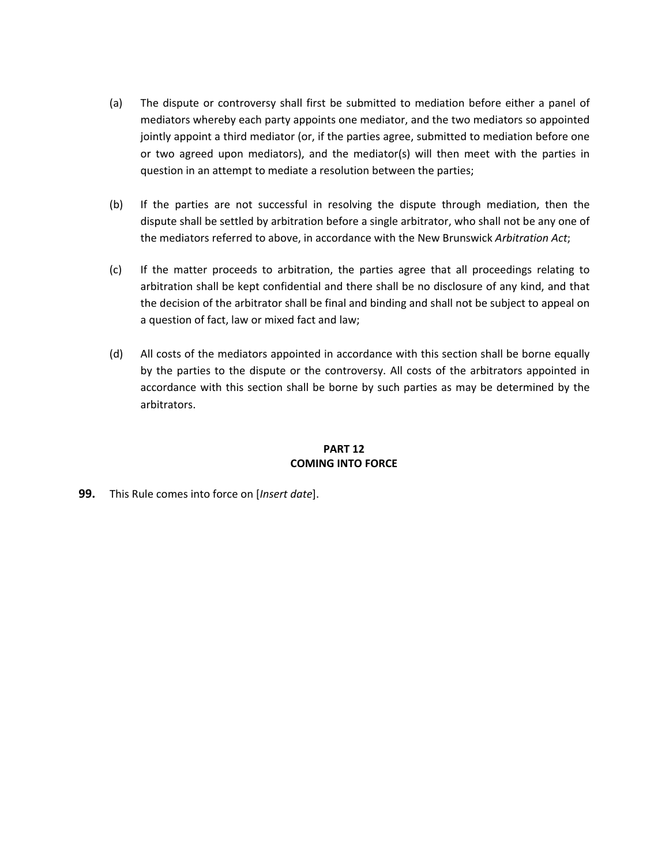- (a) The dispute or controversy shall first be submitted to mediation before either a panel of mediators whereby each party appoints one mediator, and the two mediators so appointed jointly appoint a third mediator (or, if the parties agree, submitted to mediation before one or two agreed upon mediators), and the mediator(s) will then meet with the parties in question in an attempt to mediate a resolution between the parties;
- (b) If the parties are not successful in resolving the dispute through mediation, then the dispute shall be settled by arbitration before a single arbitrator, who shall not be any one of the mediators referred to above, in accordance with the New Brunswick *Arbitration Act*;
- (c) If the matter proceeds to arbitration, the parties agree that all proceedings relating to arbitration shall be kept confidential and there shall be no disclosure of any kind, and that the decision of the arbitrator shall be final and binding and shall not be subject to appeal on a question of fact, law or mixed fact and law;
- (d) All costs of the mediators appointed in accordance with this section shall be borne equally by the parties to the dispute or the controversy. All costs of the arbitrators appointed in accordance with this section shall be borne by such parties as may be determined by the arbitrators.

## **PART 12 COMING INTO FORCE**

**99.** This Rule comes into force on [*Insert date*].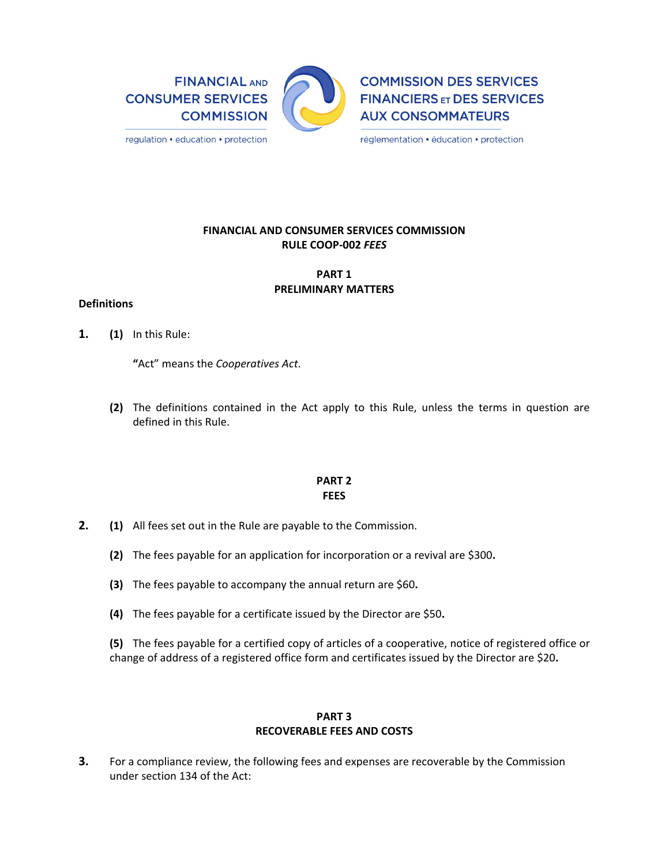**FINANCIAL AND CONSUMER SERVICES COMMISSION** 



**COMMISSION DES SERVICES FINANCIERS ET DES SERVICES AUX CONSOMMATEURS** 

réglementation · éducation · protection

## **FINANCIAL AND CONSUMER SERVICES COMMISSION RULE COOP‐002** *FEES*

# **PART 1 PRELIMINARY MATTERS**

#### **Definitions**

**1. (1)**  In this Rule:

**"**Act" means the *Cooperatives Act*.

**(2)**  The definitions contained in the Act apply to this Rule, unless the terms in question are defined in this Rule.

## **PART 2 FEES**

- **2. (1)**  All fees set out in the Rule are payable to the Commission.
	- **(2)**  The fees payable for an application for incorporation or a revival are \$300**.**
	- **(3)**  The fees payable to accompany the annual return are \$60**.**
	- **(4)**  The fees payable for a certificate issued by the Director are \$50**.**

**(5)**  The fees payable for a certified copy of articles of a cooperative, notice of registered office or change of address of a registered office form and certificates issued by the Director are \$20**.** 

#### **PART 3 RECOVERABLE FEES AND COSTS**

**3.** For a compliance review, the following fees and expenses are recoverable by the Commission under section 134 of the Act: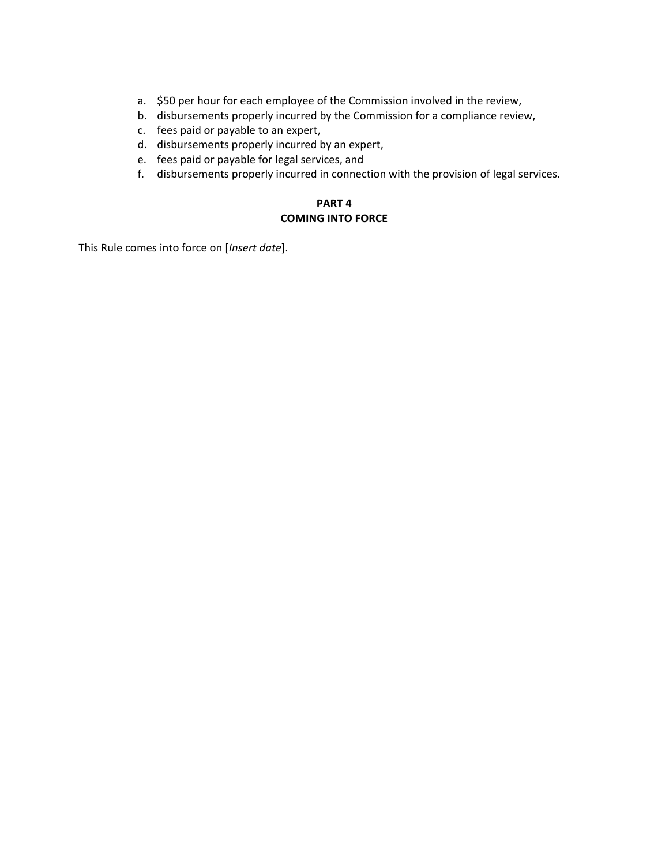- a. \$50 per hour for each employee of the Commission involved in the review,
- b. disbursements properly incurred by the Commission for a compliance review,
- c. fees paid or payable to an expert,
- d. disbursements properly incurred by an expert,
- e. fees paid or payable for legal services, and
- f. disbursements properly incurred in connection with the provision of legal services.

# **PART 4 COMING INTO FORCE**

This Rule comes into force on [*Insert date*].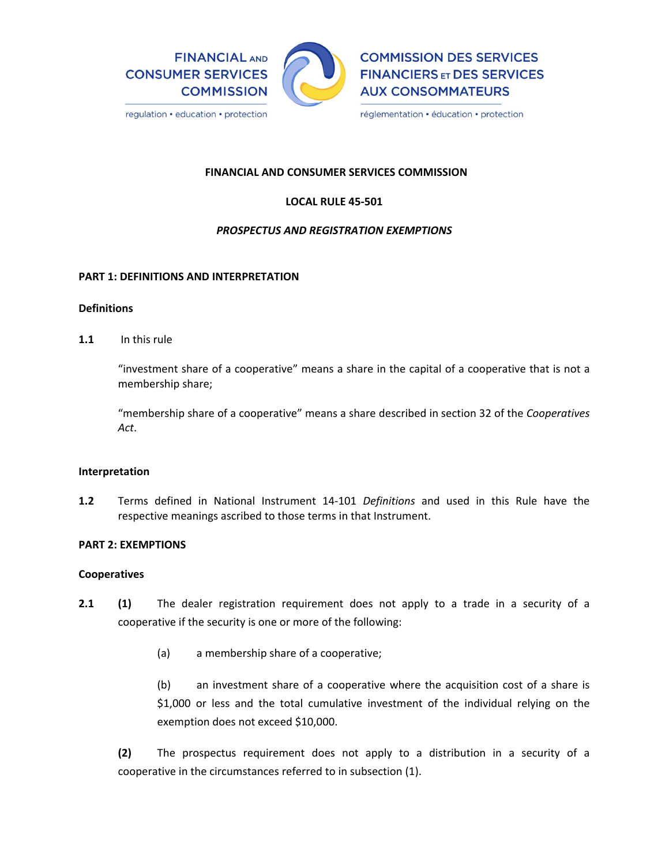

## **FINANCIAL AND CONSUMER SERVICES COMMISSION**

# **LOCAL RULE 45‐501**

# *PROSPECTUS AND REGISTRATION EXEMPTIONS*

#### **PART 1: DEFINITIONS AND INTERPRETATION**

#### **Definitions**

**1.1** In this rule

"investment share of a cooperative" means a share in the capital of a cooperative that is not a membership share;

"membership share of a cooperative" means a share described in section 32 of the *Cooperatives Act*.

## **Interpretation**

**1.2**  Terms defined in National Instrument 14‐101 *Definitions* and used in this Rule have the respective meanings ascribed to those terms in that Instrument.

#### **PART 2: EXEMPTIONS**

#### **Cooperatives**

- **2.1 (1)** The dealer registration requirement does not apply to a trade in a security of a cooperative if the security is one or more of the following:
	- (a) a membership share of a cooperative;

(b) an investment share of a cooperative where the acquisition cost of a share is \$1,000 or less and the total cumulative investment of the individual relying on the exemption does not exceed \$10,000.

**(2)** The prospectus requirement does not apply to a distribution in a security of a cooperative in the circumstances referred to in subsection (1).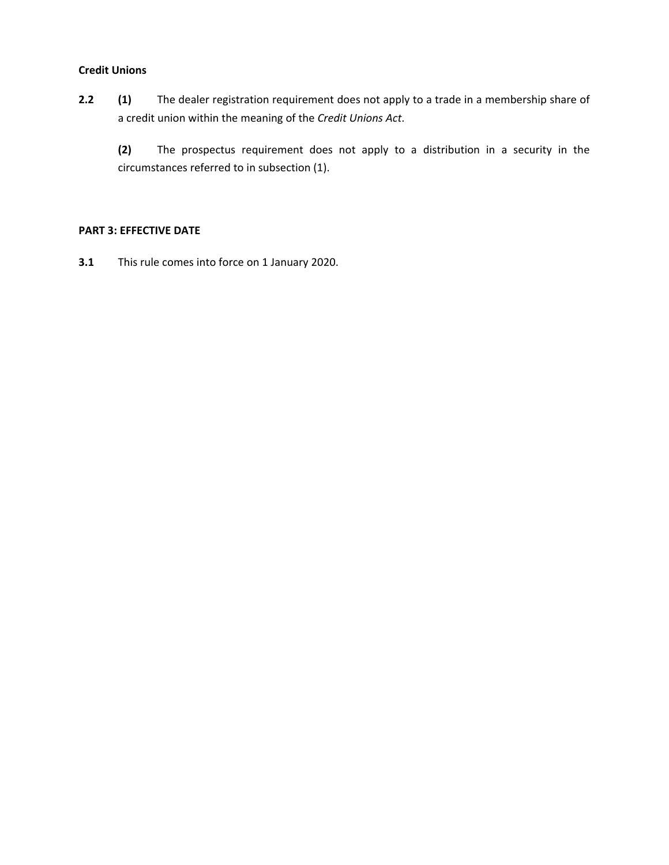## **Credit Unions**

2.2 **(1)** The dealer registration requirement does not apply to a trade in a membership share of a credit union within the meaning of the *Credit Unions Act*.

**(2)**  The prospectus requirement does not apply to a distribution in a security in the circumstances referred to in subsection (1).

#### **PART 3: EFFECTIVE DATE**

**3.1** This rule comes into force on 1 January 2020.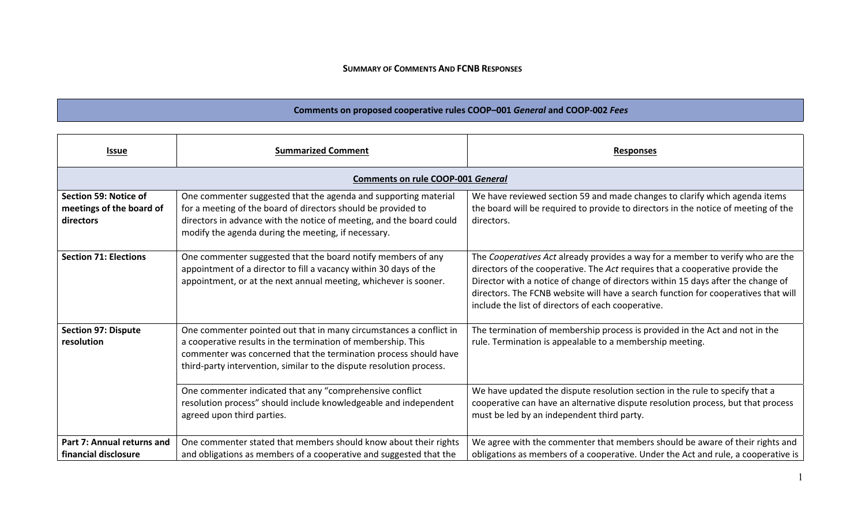#### **SUMMARY OF COMMENTS AND FCNB RESPONSES**

# **Comments on proposed cooperative rules COOP–001** *General* **and COOP‐002** *Fees*

| <b>Issue</b>                                                   | <b>Summarized Comment</b>                                                                                                                                                                                                                                                      | <b>Responses</b>                                                                                                                                                                                                                                                                                                                                                                                |  |  |
|----------------------------------------------------------------|--------------------------------------------------------------------------------------------------------------------------------------------------------------------------------------------------------------------------------------------------------------------------------|-------------------------------------------------------------------------------------------------------------------------------------------------------------------------------------------------------------------------------------------------------------------------------------------------------------------------------------------------------------------------------------------------|--|--|
| <b>Comments on rule COOP-001 General</b>                       |                                                                                                                                                                                                                                                                                |                                                                                                                                                                                                                                                                                                                                                                                                 |  |  |
| Section 59: Notice of<br>meetings of the board of<br>directors | One commenter suggested that the agenda and supporting material<br>for a meeting of the board of directors should be provided to<br>directors in advance with the notice of meeting, and the board could<br>modify the agenda during the meeting, if necessary.                | We have reviewed section 59 and made changes to clarify which agenda items<br>the board will be required to provide to directors in the notice of meeting of the<br>directors.                                                                                                                                                                                                                  |  |  |
| <b>Section 71: Elections</b>                                   | One commenter suggested that the board notify members of any<br>appointment of a director to fill a vacancy within 30 days of the<br>appointment, or at the next annual meeting, whichever is sooner.                                                                          | The Cooperatives Act already provides a way for a member to verify who are the<br>directors of the cooperative. The Act requires that a cooperative provide the<br>Director with a notice of change of directors within 15 days after the change of<br>directors. The FCNB website will have a search function for cooperatives that will<br>include the list of directors of each cooperative. |  |  |
| <b>Section 97: Dispute</b><br>resolution                       | One commenter pointed out that in many circumstances a conflict in<br>a cooperative results in the termination of membership. This<br>commenter was concerned that the termination process should have<br>third-party intervention, similar to the dispute resolution process. | The termination of membership process is provided in the Act and not in the<br>rule. Termination is appealable to a membership meeting.                                                                                                                                                                                                                                                         |  |  |
|                                                                | One commenter indicated that any "comprehensive conflict<br>resolution process" should include knowledgeable and independent<br>agreed upon third parties.                                                                                                                     | We have updated the dispute resolution section in the rule to specify that a<br>cooperative can have an alternative dispute resolution process, but that process<br>must be led by an independent third party.                                                                                                                                                                                  |  |  |
| Part 7: Annual returns and<br>financial disclosure             | One commenter stated that members should know about their rights<br>and obligations as members of a cooperative and suggested that the                                                                                                                                         | We agree with the commenter that members should be aware of their rights and<br>obligations as members of a cooperative. Under the Act and rule, a cooperative is                                                                                                                                                                                                                               |  |  |